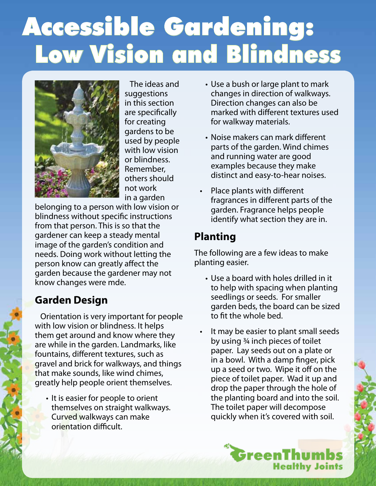# Accessible Gardening: Low Vision and Blindness



 The ideas and suggestions in this section are specifically for creating gardens to be used by people with low vision or blindness. Remember, others should not work in a garden

belonging to a person with low vision or blindness without specific instructions from that person. This is so that the gardener can keep a steady mental image of the garden's condition and needs. Doing work without letting the person know can greatly affect the garden because the gardener may not know changes were mde.

### **Garden Design**

 Orientation is very important for people with low vision or blindness. It helps them get around and know where they are while in the garden. Landmarks, like fountains, different textures, such as gravel and brick for walkways, and things that make sounds, like wind chimes, greatly help people orient themselves.

• It is easier for people to orient themselves on straight walkways. Curved walkways can make orientation difficult.

- Use a bush or large plant to mark changes in direction of walkways. Direction changes can also be marked with different textures used for walkway materials.
- Noise makers can mark different parts of the garden. Wind chimes and running water are good examples because they make distinct and easy-to-hear noises.
- Place plants with different fragrances in different parts of the garden. Fragrance helps people identify what section they are in.

## **Planting**

The following are a few ideas to make planting easier.

- Use a board with holes drilled in it to help with spacing when planting seedlings or seeds. For smaller garden beds, the board can be sized to fit the whole bed.
- It may be easier to plant small seeds by using ¾ inch pieces of toilet paper. Lay seeds out on a plate or in a bowl. With a damp finger, pick up a seed or two. Wipe it off on the piece of toilet paper. Wad it up and drop the paper through the hole of the planting board and into the soil. The toilet paper will decompose quickly when it's covered with soil.